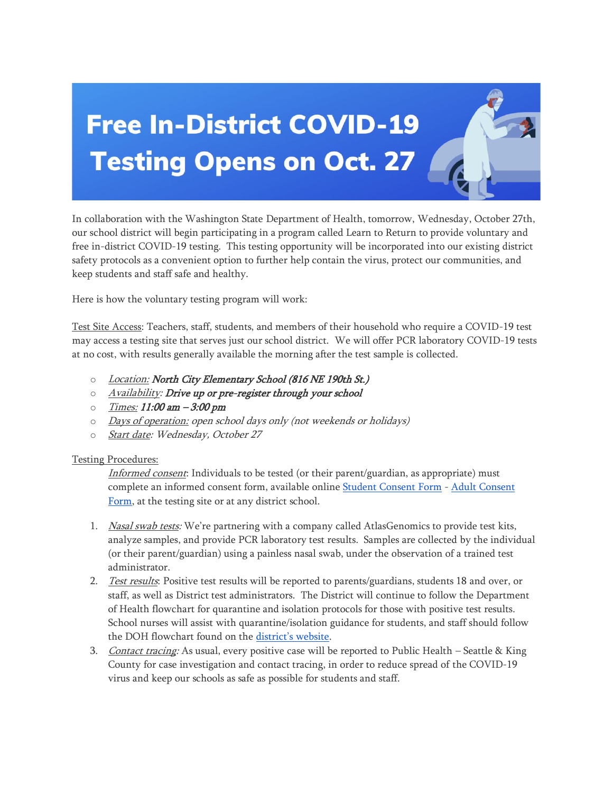## **Free In-District COVID-19 Testing Opens on Oct. 27 4**

In collaboration with the Washington State Department of Health, tomorrow, Wednesday, October 27th, our school district will begin participating in a program called Learn to Return to provide voluntary and free in-district COVID-19 testing. This testing opportunity will be incorporated into our existing district safety protocols as a convenient option to further help contain the virus, protect our communities, and keep students and staff safe and healthy.

Here is how the voluntary testing program will work:

Test Site Access: Teachers, staff, students, and members of their household who require a COVID-19 test may access a testing site that serves just our school district. We will offer PCR laboratory COVID-19 tests at no cost, with results generally available the morning after the test sample is collected.

- $\circ$  Location: North City Elementary School (816 NE 190th St.)
- o Availability: Drive up or pre-register through your school
- $\circ$  Times: 11:00 am  $-3:00$  pm
- o Days of operation: open school days only (not weekends or holidays)
- o Start date: Wednesday, October 27

## Testing Procedures:

Informed consent: Individuals to be tested (or their parent/guardian, as appropriate) must complete an informed consent form, available online [Student Consent Form](http://email-link.parentsquare.com/ls/click?upn=HU5K2q0Fz5ADTGboxPzOzV-2FXL0qE7BYVJk79MoYchrYpAE2UCquv9GxUwvOnvMoCIm72VGV4crZMSOubxwJ-2ByFGqtZH9k50g4Mr3bv1LmMAcAp5W-2FLdekPpJNV6RkAiozqJt_C0iibycwa8saRXBwPDH5uPqptLEELhlsqQsgAw3nXjA4L9-2FtNH0Dgpn-2Fwkre08pLh2WmypRjhR9j-2FCPLs1ko1UvBnM1wvJccTWY8EG5thTCXZNWKeGfNkyzf3Cox8-2BmOCcaLSqp17NoUsRUvtlA0Et7dMkNT25ZqEJpqGHls0YSnQuGfxkFuZ0k0Xo3urWSR2VTP3gevnjYfGxbiotbz75-2FGN2vHB3nbfWDxBCUtZJlKulI5-2FcPAzpn1Nll0-2ByFa56J2mlPyaPkPWHyxlHS841-2BP9v4-2Bl0690RCS53Dgxno-3D) - [Adult Consent](http://email-link.parentsquare.com/ls/click?upn=HU5K2q0Fz5ADTGboxPzOzV-2FXL0qE7BYVJk79MoYchrYkKAXE5ibAXfYQNPwXnXuLniuG8d26TjyuiQmqyM-2B2Q7KiH-2FOrDyssuMA7VdZX2uoRHpBP6h74nlvZeD6rautjggGo_C0iibycwa8saRXBwPDH5uPqptLEELhlsqQsgAw3nXjA4L9-2FtNH0Dgpn-2Fwkre08pLh2WmypRjhR9j-2FCPLs1ko1UvBnM1wvJccTWY8EG5thTCXZNWKeGfNkyzf3Cox8-2BmOCcaLSqp17NoUsRUvtlA0EvmeWcvNJgVGtR0HXbQuW-2F5aJtvKs3ZW-2FoYtOXRbDHr29ZLrAxi-2B-2FLaYd73UDHJqrcRfA-2FfBLmEixDDvgojsYRbddIx4vnqXs6IkFYKP-2BsYHPZwq-2BXnvh8zSVqh2-2F-2BnvLN1OcDXeeogMfSGnEJBxS2Q-3D)  [Form,](http://email-link.parentsquare.com/ls/click?upn=HU5K2q0Fz5ADTGboxPzOzV-2FXL0qE7BYVJk79MoYchrYkKAXE5ibAXfYQNPwXnXuLniuG8d26TjyuiQmqyM-2B2Q7KiH-2FOrDyssuMA7VdZX2uoRHpBP6h74nlvZeD6rautjggGo_C0iibycwa8saRXBwPDH5uPqptLEELhlsqQsgAw3nXjA4L9-2FtNH0Dgpn-2Fwkre08pLh2WmypRjhR9j-2FCPLs1ko1UvBnM1wvJccTWY8EG5thTCXZNWKeGfNkyzf3Cox8-2BmOCcaLSqp17NoUsRUvtlA0EvmeWcvNJgVGtR0HXbQuW-2F5aJtvKs3ZW-2FoYtOXRbDHr29ZLrAxi-2B-2FLaYd73UDHJqrcRfA-2FfBLmEixDDvgojsYRbddIx4vnqXs6IkFYKP-2BsYHPZwq-2BXnvh8zSVqh2-2F-2BnvLN1OcDXeeogMfSGnEJBxS2Q-3D) at the testing site or at any district school.

- 1. Nasal swab tests: We're partnering with a company called AtlasGenomics to provide test kits, analyze samples, and provide PCR laboratory test results. Samples are collected by the individual (or their parent/guardian) using a painless nasal swab, under the observation of a trained test administrator.
- 2. Test results: Positive test results will be reported to parents/guardians, students 18 and over, or staff, as well as District test administrators. The District will continue to follow the Department of Health flowchart for quarantine and isolation protocols for those with positive test results. School nurses will assist with quarantine/isolation guidance for students, and staff should follow the DOH flowchart found on the [district's website](http://email-link.parentsquare.com/ls/click?upn=oq5wnnHoD1NAxpT8rNAGXKsxEqW0A-2Bxnq0ykgbumqkuz3HWbtxDWYi-2FSsy45X2Zy36OcA6z2WmOUSJkBNKJhDQ-3D-3DeLa__C0iibycwa8saRXBwPDH5uPqptLEELhlsqQsgAw3nXjA4L9-2FtNH0Dgpn-2Fwkre08pLh2WmypRjhR9j-2FCPLs1ko1UvBnM1wvJccTWY8EG5thTCXZNWKeGfNkyzf3Cox8-2BmOCcaLSqp17NoUsRUvtlA0Enq0noViEYrHXyEAghCI31bHHRfo2DZ3SxjoYpPorWOWWrMX-2F-2F9OZCgizHI7tQT6SERRy3Kb5ZoTPeIROscXePWLYbvqm3t3OEXSjaZ3L-2BnWSy87V-2BOq8tbwAZD47JpIkb8MRlexjNPBr4OUu-2B0rs3E-3D).
- 3. Contact tracing: As usual, every positive case will be reported to Public Health Seattle & King County for case investigation and contact tracing, in order to reduce spread of the COVID-19 virus and keep our schools as safe as possible for students and staff.